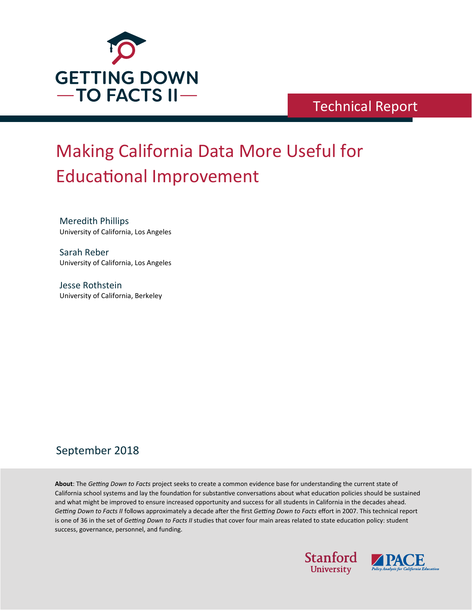

## Technical Report

# Making California Data More Useful for **Educational Improvement**

Meredith Phillips University of California, Los Angeles

Sarah Reber University of California, Los Angeles

Jesse Rothstein University of California, Berkeley

### September 2018

**About**: The *Getting Down to Facts* project seeks to create a common evidence base for understanding the current state of California school systems and lay the foundation for substantive conversations about what education policies should be sustained and what might be improved to ensure increased opportunity and success for all students in California in the decades ahead. *Getting Down to Facts II* follows approximately a decade a�er the first *Getting Down to Facts* effort in 2007. This technical report is one of 36 in the set of *Getting Down to Facts II* studies that cover four main areas related to state education policy: student success, governance, personnel, and funding.



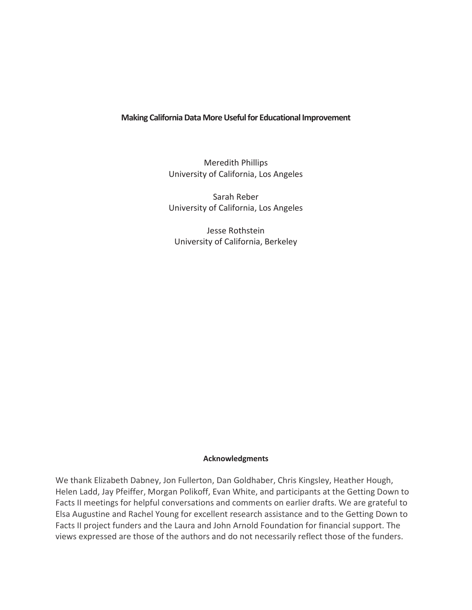#### **Making California Data More Useful for Educational Improvement**

Meredith Phillips University of California, Los Angeles

Sarah Reber University of California, Los Angeles

Jesse Rothstein University of California, Berkeley

#### **Acknowledgments**

We thank Elizabeth Dabney, Jon Fullerton, Dan Goldhaber, Chris Kingsley, Heather Hough, Helen Ladd, Jay Pfeiffer, Morgan Polikoff, Evan White, and participants at the Getting Down to Facts II meetings for helpful conversations and comments on earlier drafts. We are grateful to Elsa Augustine and Rachel Young for excellent research assistance and to the Getting Down to Facts II project funders and the Laura and John Arnold Foundation for financial support. The views expressed are those of the authors and do not necessarily reflect those of the funders.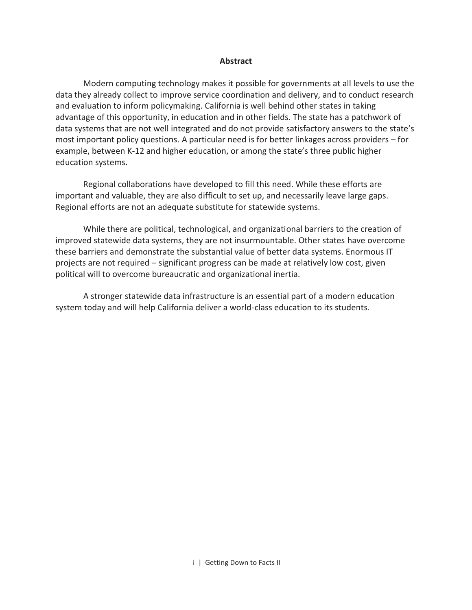#### **Abstract**

Modern computing technology makes it possible for governments at all levels to use the data they already collect to improve service coordination and delivery, and to conduct research and evaluation to inform policymaking. California is well behind other states in taking advantage of this opportunity, in education and in other fields. The state has a patchwork of data systems that are not well integrated and do not provide satisfactory answers to the state's most important policy questions. A particular need is for better linkages across providers – for example, between K-12 and higher education, or among the state's three public higher education systems.

Regional collaborations have developed to fill this need. While these efforts are important and valuable, they are also difficult to set up, and necessarily leave large gaps. Regional efforts are not an adequate substitute for statewide systems.

While there are political, technological, and organizational barriers to the creation of improved statewide data systems, they are not insurmountable. Other states have overcome these barriers and demonstrate the substantial value of better data systems. Enormous IT projects are not required – significant progress can be made at relatively low cost, given political will to overcome bureaucratic and organizational inertia.

A stronger statewide data infrastructure is an essential part of a modern education system today and will help California deliver a world-class education to its students.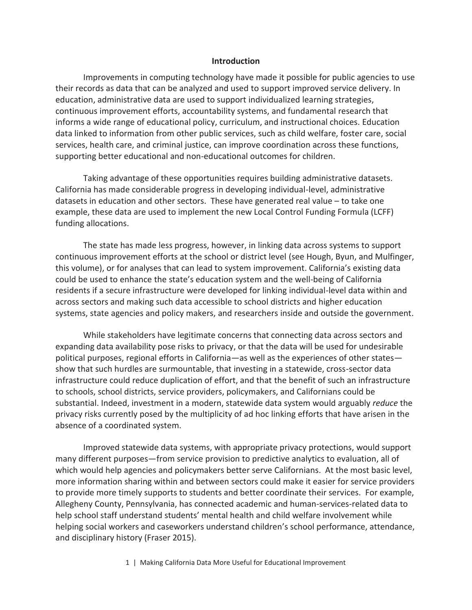#### **Introduction**

Improvements in computing technology have made it possible for public agencies to use their records as data that can be analyzed and used to support improved service delivery. In education, administrative data are used to support individualized learning strategies, continuous improvement efforts, accountability systems, and fundamental research that informs a wide range of educational policy, curriculum, and instructional choices. Education data linked to information from other public services, such as child welfare, foster care, social services, health care, and criminal justice, can improve coordination across these functions, supporting better educational and non-educational outcomes for children.

Taking advantage of these opportunities requires building administrative datasets. California has made considerable progress in developing individual-level, administrative datasets in education and other sectors. These have generated real value – to take one example, these data are used to implement the new Local Control Funding Formula (LCFF) funding allocations.

The state has made less progress, however, in linking data across systems to support continuous improvement efforts at the school or district level (see Hough, Byun, and Mulfinger, this volume), or for analyses that can lead to system improvement. California's existing data could be used to enhance the state's education system and the well-being of California residents if a secure infrastructure were developed for linking individual-level data within and across sectors and making such data accessible to school districts and higher education systems, state agencies and policy makers, and researchers inside and outside the government.

While stakeholders have legitimate concerns that connecting data across sectors and expanding data availability pose risks to privacy, or that the data will be used for undesirable political purposes, regional efforts in California—as well as the experiences of other states show that such hurdles are surmountable, that investing in a statewide, cross-sector data infrastructure could reduce duplication of effort, and that the benefit of such an infrastructure to schools, school districts, service providers, policymakers, and Californians could be substantial. Indeed, investment in a modern, statewide data system would arguably *reduce* the privacy risks currently posed by the multiplicity of ad hoc linking efforts that have arisen in the absence of a coordinated system.

Improved statewide data systems, with appropriate privacy protections, would support many different purposes—from service provision to predictive analytics to evaluation, all of which would help agencies and policymakers better serve Californians. At the most basic level, more information sharing within and between sectors could make it easier for service providers to provide more timely supports to students and better coordinate their services. For example, Allegheny County, Pennsylvania, has connected academic and human-services-related data to help school staff understand students' mental health and child welfare involvement while helping social workers and caseworkers understand children's school performance, attendance, and disciplinary history (Fraser 2015).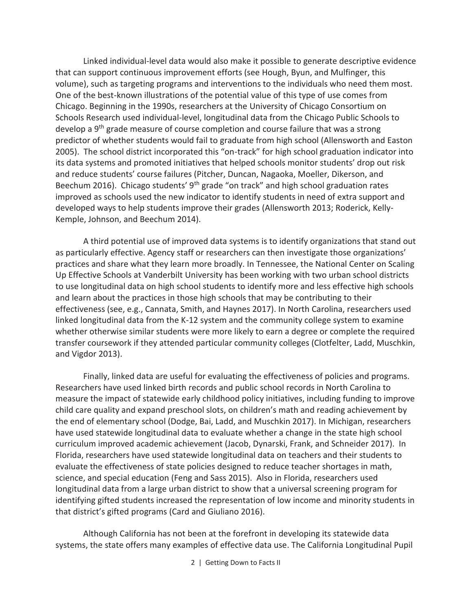Linked individual-level data would also make it possible to generate descriptive evidence that can support continuous improvement efforts (see Hough, Byun, and Mulfinger, this volume), such as targeting programs and interventions to the individuals who need them most. One of the best-known illustrations of the potential value of this type of use comes from Chicago. Beginning in the 1990s, researchers at the University of Chicago Consortium on Schools Research used individual-level, longitudinal data from the Chicago Public Schools to develop a 9<sup>th</sup> grade measure of course completion and course failure that was a strong predictor of whether students would fail to graduate from high school (Allensworth and Easton 2005). The school district incorporated this "on-track" for high school graduation indicator into its data systems and promoted initiatives that helped schools monitor students' drop out risk and reduce students' course failures (Pitcher, Duncan, Nagaoka, Moeller, Dikerson, and Beechum 2016). Chicago students'  $9<sup>th</sup>$  grade "on track" and high school graduation rates improved as schools used the new indicator to identify students in need of extra support and developed ways to help students improve their grades (Allensworth 2013; Roderick, Kelly-Kemple, Johnson, and Beechum 2014).

A third potential use of improved data systems is to identify organizations that stand out as particularly effective. Agency staff or researchers can then investigate those organizations' practices and share what they learn more broadly. In Tennessee, the National Center on Scaling Up Effective Schools at Vanderbilt University has been working with two urban school districts to use longitudinal data on high school students to identify more and less effective high schools and learn about the practices in those high schools that may be contributing to their effectiveness (see, e.g., Cannata, Smith, and Haynes 2017). In North Carolina, researchers used linked longitudinal data from the K-12 system and the community college system to examine whether otherwise similar students were more likely to earn a degree or complete the required transfer coursework if they attended particular community colleges (Clotfelter, Ladd, Muschkin, and Vigdor 2013).

Finally, linked data are useful for evaluating the effectiveness of policies and programs. Researchers have used linked birth records and public school records in North Carolina to measure the impact of statewide early childhood policy initiatives, including funding to improve child care quality and expand preschool slots, on children's math and reading achievement by the end of elementary school (Dodge, Bai, Ladd, and Muschkin 2017). In Michigan, researchers have used statewide longitudinal data to evaluate whether a change in the state high school curriculum improved academic achievement (Jacob, Dynarski, Frank, and Schneider 2017). In Florida, researchers have used statewide longitudinal data on teachers and their students to evaluate the effectiveness of state policies designed to reduce teacher shortages in math, science, and special education (Feng and Sass 2015). Also in Florida, researchers used longitudinal data from a large urban district to show that a universal screening program for identifying gifted students increased the representation of low income and minority students in that district's gifted programs (Card and Giuliano 2016).

Although California has not been at the forefront in developing its statewide data systems, the state offers many examples of effective data use. The California Longitudinal Pupil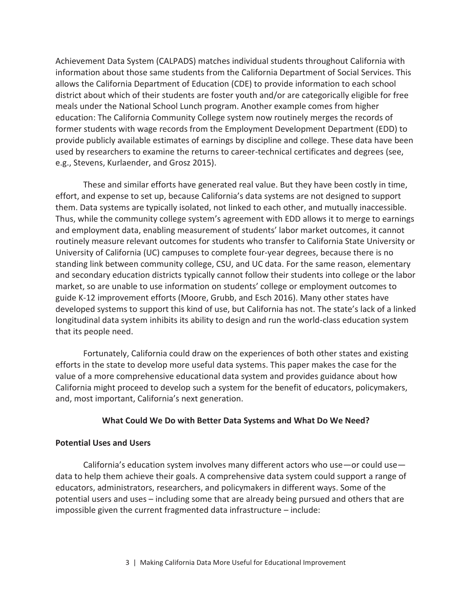Achievement Data System (CALPADS) matches individual students throughout California with information about those same students from the California Department of Social Services. This allows the California Department of Education (CDE) to provide information to each school district about which of their students are foster youth and/or are categorically eligible for free meals under the National School Lunch program. Another example comes from higher education: The California Community College system now routinely merges the records of former students with wage records from the Employment Development Department (EDD) to provide publicly available estimates of earnings by discipline and college. These data have been used by researchers to examine the returns to career-technical certificates and degrees (see, e.g., Stevens, Kurlaender, and Grosz 2015).

These and similar efforts have generated real value. But they have been costly in time, effort, and expense to set up, because California's data systems are not designed to support them. Data systems are typically isolated, not linked to each other, and mutually inaccessible. Thus, while the community college system's agreement with EDD allows it to merge to earnings and employment data, enabling measurement of students' labor market outcomes, it cannot routinely measure relevant outcomes for students who transfer to California State University or University of California (UC) campuses to complete four-year degrees, because there is no standing link between community college, CSU, and UC data. For the same reason, elementary and secondary education districts typically cannot follow their students into college or the labor market, so are unable to use information on students' college or employment outcomes to guide K-12 improvement efforts (Moore, Grubb, and Esch 2016). Many other states have developed systems to support this kind of use, but California has not. The state's lack of a linked longitudinal data system inhibits its ability to design and run the world-class education system that its people need.

Fortunately, California could draw on the experiences of both other states and existing efforts in the state to develop more useful data systems. This paper makes the case for the value of a more comprehensive educational data system and provides guidance about how California might proceed to develop such a system for the benefit of educators, policymakers, and, most important, California's next generation.

#### **What Could We Do with Better Data Systems and What Do We Need?**

#### **Potential Uses and Users**

California's education system involves many different actors who use—or could use data to help them achieve their goals. A comprehensive data system could support a range of educators, administrators, researchers, and policymakers in different ways. Some of the potential users and uses – including some that are already being pursued and others that are impossible given the current fragmented data infrastructure – include: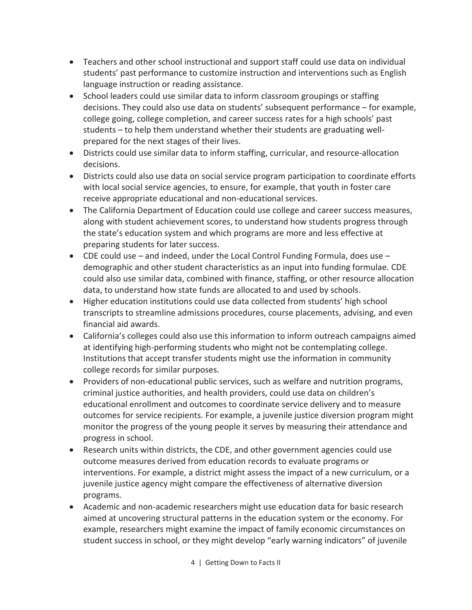- · Teachers and other school instructional and support staff could use data on individual students' past performance to customize instruction and interventions such as English language instruction or reading assistance.
- · School leaders could use similar data to inform classroom groupings or staffing decisions. They could also use data on students' subsequent performance – for example, college going, college completion, and career success rates for a high schools' past students – to help them understand whether their students are graduating wellprepared for the next stages of their lives.
- · Districts could use similar data to inform staffing, curricular, and resource-allocation decisions.
- · Districts could also use data on social service program participation to coordinate efforts with local social service agencies, to ensure, for example, that youth in foster care receive appropriate educational and non-educational services.
- The California Department of Education could use college and career success measures, along with student achievement scores, to understand how students progress through the state's education system and which programs are more and less effective at preparing students for later success.
- CDE could use  $-$  and indeed, under the Local Control Funding Formula, does use  $$ demographic and other student characteristics as an input into funding formulae. CDE could also use similar data, combined with finance, staffing, or other resource allocation data, to understand how state funds are allocated to and used by schools.
- · Higher education institutions could use data collected from students' high school transcripts to streamline admissions procedures, course placements, advising, and even financial aid awards.
- · California's colleges could also use this information to inform outreach campaigns aimed at identifying high-performing students who might not be contemplating college. Institutions that accept transfer students might use the information in community college records for similar purposes.
- · Providers of non-educational public services, such as welfare and nutrition programs, criminal justice authorities, and health providers, could use data on children's educational enrollment and outcomes to coordinate service delivery and to measure outcomes for service recipients. For example, a juvenile justice diversion program might monitor the progress of the young people it serves by measuring their attendance and progress in school.
- · Research units within districts, the CDE, and other government agencies could use outcome measures derived from education records to evaluate programs or interventions. For example, a district might assess the impact of a new curriculum, or a juvenile justice agency might compare the effectiveness of alternative diversion programs.
- · Academic and non-academic researchers might use education data for basic research aimed at uncovering structural patterns in the education system or the economy. For example, researchers might examine the impact of family economic circumstances on student success in school, or they might develop "early warning indicators" of juvenile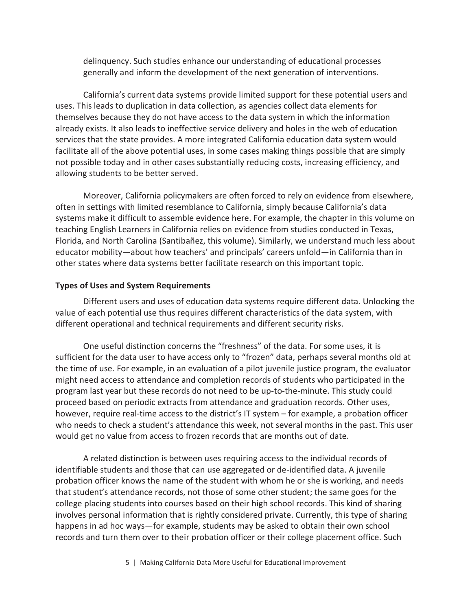delinquency. Such studies enhance our understanding of educational processes generally and inform the development of the next generation of interventions.

California's current data systems provide limited support for these potential users and uses. This leads to duplication in data collection, as agencies collect data elements for themselves because they do not have access to the data system in which the information already exists. It also leads to ineffective service delivery and holes in the web of education services that the state provides. A more integrated California education data system would facilitate all of the above potential uses, in some cases making things possible that are simply not possible today and in other cases substantially reducing costs, increasing efficiency, and allowing students to be better served.

Moreover, California policymakers are often forced to rely on evidence from elsewhere, often in settings with limited resemblance to California, simply because California's data systems make it difficult to assemble evidence here. For example, the chapter in this volume on teaching English Learners in California relies on evidence from studies conducted in Texas, Florida, and North Carolina (Santibañez, this volume). Similarly, we understand much less about educator mobility—about how teachers' and principals' careers unfold—in California than in other states where data systems better facilitate research on this important topic.

#### **Types of Uses and System Requirements**

Different users and uses of education data systems require different data. Unlocking the value of each potential use thus requires different characteristics of the data system, with different operational and technical requirements and different security risks.

One useful distinction concerns the "freshness" of the data. For some uses, it is sufficient for the data user to have access only to "frozen" data, perhaps several months old at the time of use. For example, in an evaluation of a pilot juvenile justice program, the evaluator might need access to attendance and completion records of students who participated in the program last year but these records do not need to be up-to-the-minute. This study could proceed based on periodic extracts from attendance and graduation records. Other uses, however, require real-time access to the district's IT system – for example, a probation officer who needs to check a student's attendance this week, not several months in the past. This user would get no value from access to frozen records that are months out of date.

A related distinction is between uses requiring access to the individual records of identifiable students and those that can use aggregated or de-identified data. A juvenile probation officer knows the name of the student with whom he or she is working, and needs that student's attendance records, not those of some other student; the same goes for the college placing students into courses based on their high school records. This kind of sharing involves personal information that is rightly considered private. Currently, this type of sharing happens in ad hoc ways—for example, students may be asked to obtain their own school records and turn them over to their probation officer or their college placement office. Such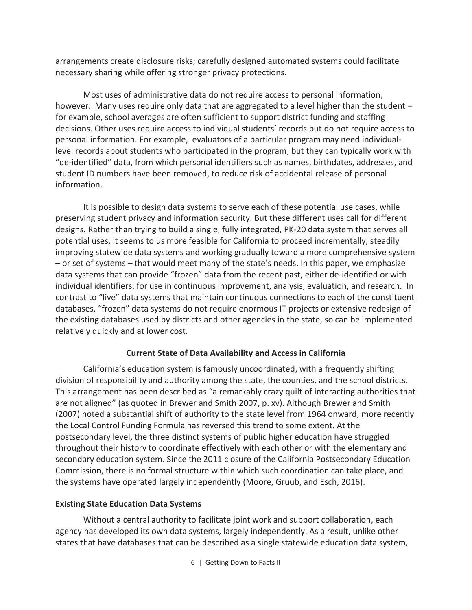arrangements create disclosure risks; carefully designed automated systems could facilitate necessary sharing while offering stronger privacy protections.

Most uses of administrative data do not require access to personal information, however. Many uses require only data that are aggregated to a level higher than the student – for example, school averages are often sufficient to support district funding and staffing decisions. Other uses require access to individual students' records but do not require access to personal information. For example, evaluators of a particular program may need individuallevel records about students who participated in the program, but they can typically work with "de-identified" data, from which personal identifiers such as names, birthdates, addresses, and student ID numbers have been removed, to reduce risk of accidental release of personal information.

It is possible to design data systems to serve each of these potential use cases, while preserving student privacy and information security. But these different uses call for different designs. Rather than trying to build a single, fully integrated, PK-20 data system that serves all potential uses, it seems to us more feasible for California to proceed incrementally, steadily improving statewide data systems and working gradually toward a more comprehensive system – or set of systems – that would meet many of the state's needs. In this paper, we emphasize data systems that can provide "frozen" data from the recent past, either de-identified or with individual identifiers, for use in continuous improvement, analysis, evaluation, and research. In contrast to "live" data systems that maintain continuous connections to each of the constituent databases, "frozen" data systems do not require enormous IT projects or extensive redesign of the existing databases used by districts and other agencies in the state, so can be implemented relatively quickly and at lower cost.

#### **Current State of Data Availability and Access in California**

California's education system is famously uncoordinated, with a frequently shifting division of responsibility and authority among the state, the counties, and the school districts. This arrangement has been described as "a remarkably crazy quilt of interacting authorities that are not aligned" (as quoted in Brewer and Smith 2007, p. xv). Although Brewer and Smith (2007) noted a substantial shift of authority to the state level from 1964 onward, more recently the Local Control Funding Formula has reversed this trend to some extent. At the postsecondary level, the three distinct systems of public higher education have struggled throughout their history to coordinate effectively with each other or with the elementary and secondary education system. Since the 2011 closure of the California Postsecondary Education Commission, there is no formal structure within which such coordination can take place, and the systems have operated largely independently (Moore, Gruub, and Esch, 2016).

#### **Existing State Education Data Systems**

Without a central authority to facilitate joint work and support collaboration, each agency has developed its own data systems, largely independently. As a result, unlike other states that have databases that can be described as a single statewide education data system,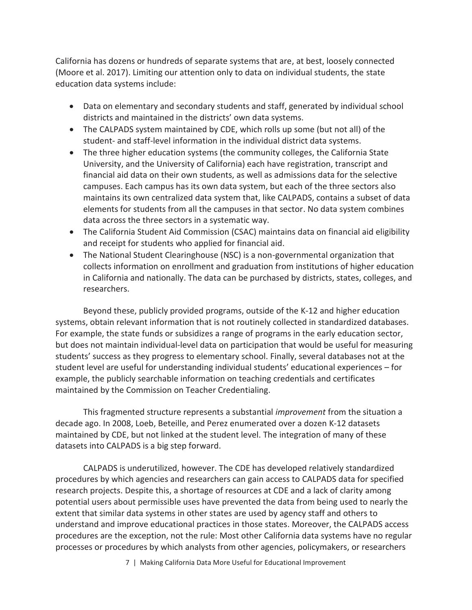California has dozens or hundreds of separate systems that are, at best, loosely connected (Moore et al. 2017). Limiting our attention only to data on individual students, the state education data systems include:

- · Data on elementary and secondary students and staff, generated by individual school districts and maintained in the districts' own data systems.
- The CALPADS system maintained by CDE, which rolls up some (but not all) of the student- and staff-level information in the individual district data systems.
- · The three higher education systems (the community colleges, the California State University, and the University of California) each have registration, transcript and financial aid data on their own students, as well as admissions data for the selective campuses. Each campus has its own data system, but each of the three sectors also maintains its own centralized data system that, like CALPADS, contains a subset of data elements for students from all the campuses in that sector. No data system combines data across the three sectors in a systematic way.
- The California Student Aid Commission (CSAC) maintains data on financial aid eligibility and receipt for students who applied for financial aid.
- · The National Student Clearinghouse (NSC) is a non-governmental organization that collects information on enrollment and graduation from institutions of higher education in California and nationally. The data can be purchased by districts, states, colleges, and researchers.

Beyond these, publicly provided programs, outside of the K-12 and higher education systems, obtain relevant information that is not routinely collected in standardized databases. For example, the state funds or subsidizes a range of programs in the early education sector, but does not maintain individual-level data on participation that would be useful for measuring students' success as they progress to elementary school. Finally, several databases not at the student level are useful for understanding individual students' educational experiences – for example, the publicly searchable information on teaching credentials and certificates maintained by the Commission on Teacher Credentialing.

This fragmented structure represents a substantial *improvement* from the situation a decade ago. In 2008, Loeb, Beteille, and Perez enumerated over a dozen K-12 datasets maintained by CDE, but not linked at the student level. The integration of many of these datasets into CALPADS is a big step forward.

CALPADS is underutilized, however. The CDE has developed relatively standardized procedures by which agencies and researchers can gain access to CALPADS data for specified research projects. Despite this, a shortage of resources at CDE and a lack of clarity among potential users about permissible uses have prevented the data from being used to nearly the extent that similar data systems in other states are used by agency staff and others to understand and improve educational practices in those states. Moreover, the CALPADS access procedures are the exception, not the rule: Most other California data systems have no regular processes or procedures by which analysts from other agencies, policymakers, or researchers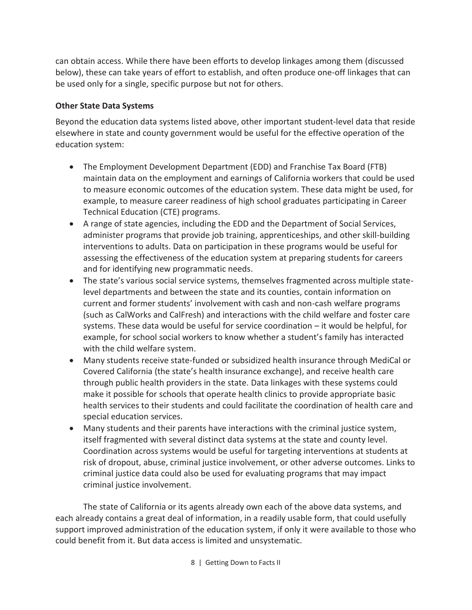can obtain access. While there have been efforts to develop linkages among them (discussed below), these can take years of effort to establish, and often produce one-off linkages that can be used only for a single, specific purpose but not for others.

#### **Other State Data Systems**

Beyond the education data systems listed above, other important student-level data that reside elsewhere in state and county government would be useful for the effective operation of the education system:

- · The Employment Development Department (EDD) and Franchise Tax Board (FTB) maintain data on the employment and earnings of California workers that could be used to measure economic outcomes of the education system. These data might be used, for example, to measure career readiness of high school graduates participating in Career Technical Education (CTE) programs.
- · A range of state agencies, including the EDD and the Department of Social Services, administer programs that provide job training, apprenticeships, and other skill-building interventions to adults. Data on participation in these programs would be useful for assessing the effectiveness of the education system at preparing students for careers and for identifying new programmatic needs.
- · The state's various social service systems, themselves fragmented across multiple statelevel departments and between the state and its counties, contain information on current and former students' involvement with cash and non-cash welfare programs (such as CalWorks and CalFresh) and interactions with the child welfare and foster care systems. These data would be useful for service coordination – it would be helpful, for example, for school social workers to know whether a student's family has interacted with the child welfare system.
- · Many students receive state-funded or subsidized health insurance through MediCal or Covered California (the state's health insurance exchange), and receive health care through public health providers in the state. Data linkages with these systems could make it possible for schools that operate health clinics to provide appropriate basic health services to their students and could facilitate the coordination of health care and special education services.
- · Many students and their parents have interactions with the criminal justice system, itself fragmented with several distinct data systems at the state and county level. Coordination across systems would be useful for targeting interventions at students at risk of dropout, abuse, criminal justice involvement, or other adverse outcomes. Links to criminal justice data could also be used for evaluating programs that may impact criminal justice involvement.

The state of California or its agents already own each of the above data systems, and each already contains a great deal of information, in a readily usable form, that could usefully support improved administration of the education system, if only it were available to those who could benefit from it. But data access is limited and unsystematic.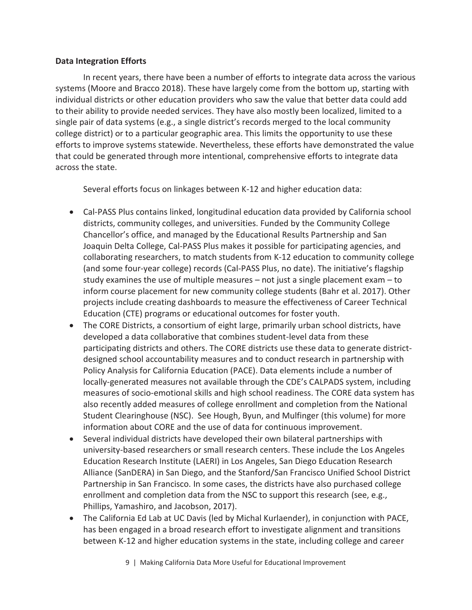#### **Data Integration Efforts**

In recent years, there have been a number of efforts to integrate data across the various systems (Moore and Bracco 2018). These have largely come from the bottom up, starting with individual districts or other education providers who saw the value that better data could add to their ability to provide needed services. They have also mostly been localized, limited to a single pair of data systems (e.g., a single district's records merged to the local community college district) or to a particular geographic area. This limits the opportunity to use these efforts to improve systems statewide. Nevertheless, these efforts have demonstrated the value that could be generated through more intentional, comprehensive efforts to integrate data across the state.

Several efforts focus on linkages between K-12 and higher education data:

- · Cal-PASS Plus contains linked, longitudinal education data provided by California school districts, community colleges, and universities. Funded by the Community College Chancellor's office, and managed by the Educational Results Partnership and San Joaquin Delta College, Cal-PASS Plus makes it possible for participating agencies, and collaborating researchers, to match students from K-12 education to community college (and some four-year college) records (Cal-PASS Plus, no date). The initiative's flagship study examines the use of multiple measures – not just a single placement exam – to inform course placement for new community college students (Bahr et al. 2017). Other projects include creating dashboards to measure the effectiveness of Career Technical Education (CTE) programs or educational outcomes for foster youth.
- The CORE Districts, a consortium of eight large, primarily urban school districts, have developed a data collaborative that combines student-level data from these participating districts and others. The CORE districts use these data to generate districtdesigned school accountability measures and to conduct research in partnership with Policy Analysis for California Education (PACE). Data elements include a number of locally-generated measures not available through the CDE's CALPADS system, including measures of socio-emotional skills and high school readiness. The CORE data system has also recently added measures of college enrollment and completion from the National Student Clearinghouse (NSC). See Hough, Byun, and Mulfinger (this volume) for more information about CORE and the use of data for continuous improvement.
- · Several individual districts have developed their own bilateral partnerships with university-based researchers or small research centers. These include the Los Angeles Education Research Institute (LAERI) in Los Angeles, San Diego Education Research Alliance (SanDERA) in San Diego, and the Stanford/San Francisco Unified School District Partnership in San Francisco. In some cases, the districts have also purchased college enrollment and completion data from the NSC to support this research (see, e.g., Phillips, Yamashiro, and Jacobson, 2017).
- · The California Ed Lab at UC Davis (led by Michal Kurlaender), in conjunction with PACE, has been engaged in a broad research effort to investigate alignment and transitions between K-12 and higher education systems in the state, including college and career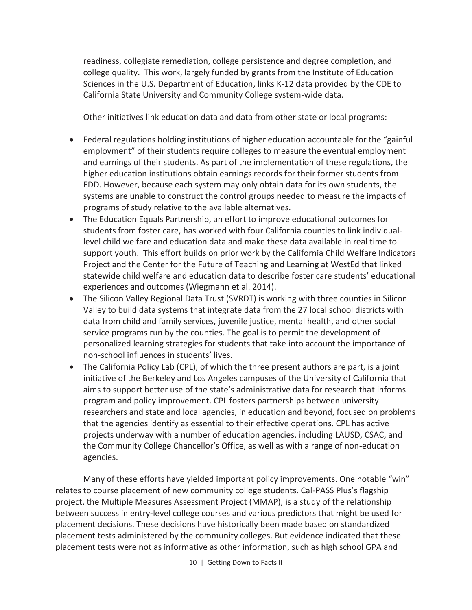readiness, collegiate remediation, college persistence and degree completion, and college quality. This work, largely funded by grants from the Institute of Education Sciences in the U.S. Department of Education, links K-12 data provided by the CDE to California State University and Community College system-wide data.

Other initiatives link education data and data from other state or local programs:

- · Federal regulations holding institutions of higher education accountable for the "gainful employment" of their students require colleges to measure the eventual employment and earnings of their students. As part of the implementation of these regulations, the higher education institutions obtain earnings records for their former students from EDD. However, because each system may only obtain data for its own students, the systems are unable to construct the control groups needed to measure the impacts of programs of study relative to the available alternatives.
- · The Education Equals Partnership, an effort to improve educational outcomes for students from foster care, has worked with four California counties to link individuallevel child welfare and education data and make these data available in real time to support youth. This effort builds on prior work by the California Child Welfare Indicators Project and the Center for the Future of Teaching and Learning at WestEd that linked statewide child welfare and education data to describe foster care students' educational experiences and outcomes (Wiegmann et al. 2014).
- · The Silicon Valley Regional Data Trust (SVRDT) is working with three counties in Silicon Valley to build data systems that integrate data from the 27 local school districts with data from child and family services, juvenile justice, mental health, and other social service programs run by the counties. The goal is to permit the development of personalized learning strategies for students that take into account the importance of non-school influences in students' lives.
- · The California Policy Lab (CPL), of which the three present authors are part, is a joint initiative of the Berkeley and Los Angeles campuses of the University of California that aims to support better use of the state's administrative data for research that informs program and policy improvement. CPL fosters partnerships between university researchers and state and local agencies, in education and beyond, focused on problems that the agencies identify as essential to their effective operations. CPL has active projects underway with a number of education agencies, including LAUSD, CSAC, and the Community College Chancellor's Office, as well as with a range of non-education agencies.

Many of these efforts have yielded important policy improvements. One notable "win" relates to course placement of new community college students. Cal-PASS Plus's flagship project, the Multiple Measures Assessment Project (MMAP), is a study of the relationship between success in entry-level college courses and various predictors that might be used for placement decisions. These decisions have historically been made based on standardized placement tests administered by the community colleges. But evidence indicated that these placement tests were not as informative as other information, such as high school GPA and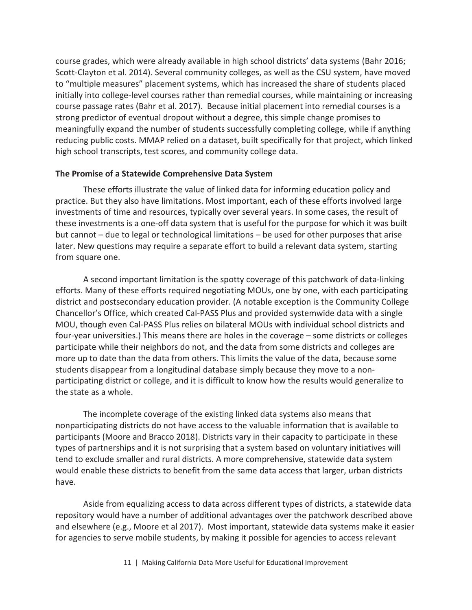course grades, which were already available in high school districts' data systems (Bahr 2016; Scott-Clayton et al. 2014). Several community colleges, as well as the CSU system, have moved to "multiple measures" placement systems, which has increased the share of students placed initially into college-level courses rather than remedial courses, while maintaining or increasing course passage rates (Bahr et al. 2017). Because initial placement into remedial courses is a strong predictor of eventual dropout without a degree, this simple change promises to meaningfully expand the number of students successfully completing college, while if anything reducing public costs. MMAP relied on a dataset, built specifically for that project, which linked high school transcripts, test scores, and community college data.

#### **The Promise of a Statewide Comprehensive Data System**

These efforts illustrate the value of linked data for informing education policy and practice. But they also have limitations. Most important, each of these efforts involved large investments of time and resources, typically over several years. In some cases, the result of these investments is a one-off data system that is useful for the purpose for which it was built but cannot – due to legal or technological limitations – be used for other purposes that arise later. New questions may require a separate effort to build a relevant data system, starting from square one.

A second important limitation is the spotty coverage of this patchwork of data-linking efforts. Many of these efforts required negotiating MOUs, one by one, with each participating district and postsecondary education provider. (A notable exception is the Community College Chancellor's Office, which created Cal-PASS Plus and provided systemwide data with a single MOU, though even Cal-PASS Plus relies on bilateral MOUs with individual school districts and four-year universities.) This means there are holes in the coverage – some districts or colleges participate while their neighbors do not, and the data from some districts and colleges are more up to date than the data from others. This limits the value of the data, because some students disappear from a longitudinal database simply because they move to a nonparticipating district or college, and it is difficult to know how the results would generalize to the state as a whole.

The incomplete coverage of the existing linked data systems also means that nonparticipating districts do not have access to the valuable information that is available to participants (Moore and Bracco 2018). Districts vary in their capacity to participate in these types of partnerships and it is not surprising that a system based on voluntary initiatives will tend to exclude smaller and rural districts. A more comprehensive, statewide data system would enable these districts to benefit from the same data access that larger, urban districts have.

Aside from equalizing access to data across different types of districts, a statewide data repository would have a number of additional advantages over the patchwork described above and elsewhere (e.g., Moore et al 2017). Most important, statewide data systems make it easier for agencies to serve mobile students, by making it possible for agencies to access relevant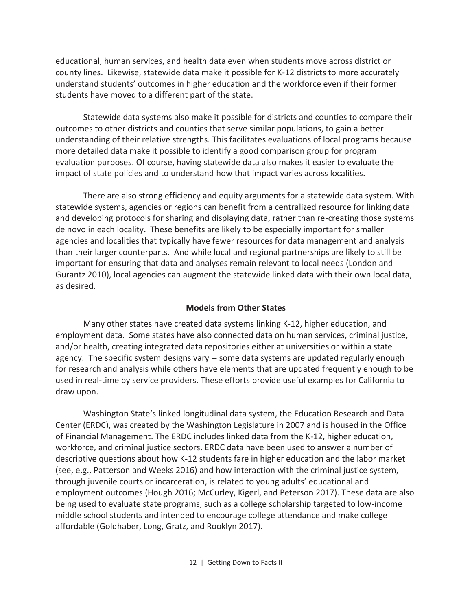educational, human services, and health data even when students move across district or county lines. Likewise, statewide data make it possible for K-12 districts to more accurately understand students' outcomes in higher education and the workforce even if their former students have moved to a different part of the state.

Statewide data systems also make it possible for districts and counties to compare their outcomes to other districts and counties that serve similar populations, to gain a better understanding of their relative strengths. This facilitates evaluations of local programs because more detailed data make it possible to identify a good comparison group for program evaluation purposes. Of course, having statewide data also makes it easier to evaluate the impact of state policies and to understand how that impact varies across localities.

There are also strong efficiency and equity arguments for a statewide data system. With statewide systems, agencies or regions can benefit from a centralized resource for linking data and developing protocols for sharing and displaying data, rather than re-creating those systems de novo in each locality. These benefits are likely to be especially important for smaller agencies and localities that typically have fewer resources for data management and analysis than their larger counterparts. And while local and regional partnerships are likely to still be important for ensuring that data and analyses remain relevant to local needs (London and Gurantz 2010), local agencies can augment the statewide linked data with their own local data, as desired.

#### **Models from Other States**

Many other states have created data systems linking K-12, higher education, and employment data. Some states have also connected data on human services, criminal justice, and/or health, creating integrated data repositories either at universities or within a state agency. The specific system designs vary -- some data systems are updated regularly enough for research and analysis while others have elements that are updated frequently enough to be used in real-time by service providers. These efforts provide useful examples for California to draw upon.

Washington State's linked longitudinal data system, the Education Research and Data Center (ERDC), was created by the Washington Legislature in 2007 and is housed in the Office of Financial Management. The ERDC includes linked data from the K-12, higher education, workforce, and criminal justice sectors. ERDC data have been used to answer a number of descriptive questions about how K-12 students fare in higher education and the labor market (see, e.g., Patterson and Weeks 2016) and how interaction with the criminal justice system, through juvenile courts or incarceration, is related to young adults' educational and employment outcomes (Hough 2016; McCurley, Kigerl, and Peterson 2017). These data are also being used to evaluate state programs, such as a college scholarship targeted to low-income middle school students and intended to encourage college attendance and make college affordable (Goldhaber, Long, Gratz, and Rooklyn 2017).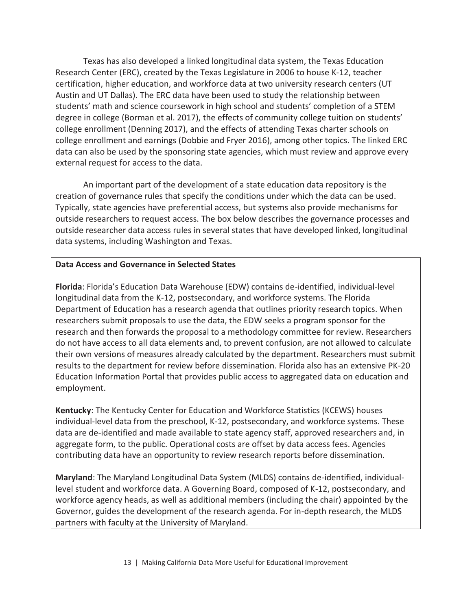Texas has also developed a linked longitudinal data system, the Texas Education Research Center (ERC), created by the Texas Legislature in 2006 to house K-12, teacher certification, higher education, and workforce data at two university research centers (UT Austin and UT Dallas). The ERC data have been used to study the relationship between students' math and science coursework in high school and students' completion of a STEM degree in college (Borman et al. 2017), the effects of community college tuition on students' college enrollment (Denning 2017), and the effects of attending Texas charter schools on college enrollment and earnings (Dobbie and Fryer 2016), among other topics. The linked ERC data can also be used by the sponsoring state agencies, which must review and approve every external request for access to the data.

An important part of the development of a state education data repository is the creation of governance rules that specify the conditions under which the data can be used. Typically, state agencies have preferential access, but systems also provide mechanisms for outside researchers to request access. The box below describes the governance processes and outside researcher data access rules in several states that have developed linked, longitudinal data systems, including Washington and Texas.

#### **Data Access and Governance in Selected States**

**Florida**: Florida's Education Data Warehouse (EDW) contains de-identified, individual-level longitudinal data from the K-12, postsecondary, and workforce systems. The Florida Department of Education has a research agenda that outlines priority research topics. When researchers submit proposals to use the data, the EDW seeks a program sponsor for the research and then forwards the proposal to a methodology committee for review. Researchers do not have access to all data elements and, to prevent confusion, are not allowed to calculate their own versions of measures already calculated by the department. Researchers must submit results to the department for review before dissemination. Florida also has an extensive PK-20 Education Information Portal that provides public access to aggregated data on education and employment.

**Kentucky**: The Kentucky Center for Education and Workforce Statistics (KCEWS) houses individual-level data from the preschool, K-12, postsecondary, and workforce systems. These data are de-identified and made available to state agency staff, approved researchers and, in aggregate form, to the public. Operational costs are offset by data access fees. Agencies contributing data have an opportunity to review research reports before dissemination.

**Maryland**: The Maryland Longitudinal Data System (MLDS) contains de-identified, individuallevel student and workforce data. A Governing Board, composed of K-12, postsecondary, and workforce agency heads, as well as additional members (including the chair) appointed by the Governor, guides the development of the research agenda. For in-depth research, the MLDS partners with faculty at the University of Maryland.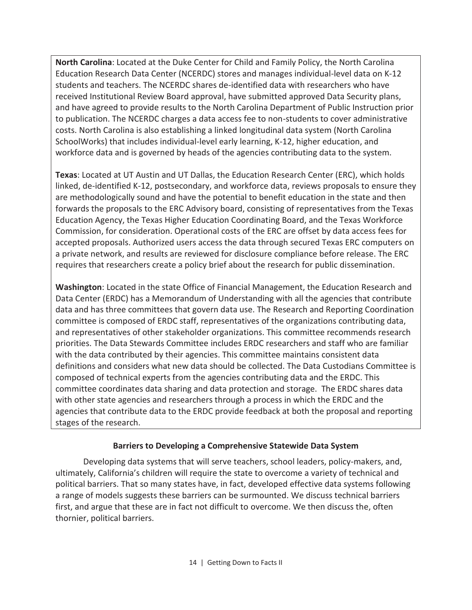**North Carolina**: Located at the Duke Center for Child and Family Policy, the North Carolina Education Research Data Center (NCERDC) stores and manages individual-level data on K-12 students and teachers. The NCERDC shares de-identified data with researchers who have received Institutional Review Board approval, have submitted approved Data Security plans, and have agreed to provide results to the North Carolina Department of Public Instruction prior to publication. The NCERDC charges a data access fee to non-students to cover administrative costs. North Carolina is also establishing a linked longitudinal data system (North Carolina SchoolWorks) that includes individual-level early learning, K-12, higher education, and workforce data and is governed by heads of the agencies contributing data to the system.

**Texas**: Located at UT Austin and UT Dallas, the Education Research Center (ERC), which holds linked, de-identified K-12, postsecondary, and workforce data, reviews proposals to ensure they are methodologically sound and have the potential to benefit education in the state and then forwards the proposals to the ERC Advisory board, consisting of representatives from the Texas Education Agency, the Texas Higher Education Coordinating Board, and the Texas Workforce Commission, for consideration. Operational costs of the ERC are offset by data access fees for accepted proposals. Authorized users access the data through secured Texas ERC computers on a private network, and results are reviewed for disclosure compliance before release. The ERC requires that researchers create a policy brief about the research for public dissemination.

**Washington**: Located in the state Office of Financial Management, the Education Research and Data Center (ERDC) has a Memorandum of Understanding with all the agencies that contribute data and has three committees that govern data use. The Research and Reporting Coordination committee is composed of ERDC staff, representatives of the organizations contributing data, and representatives of other stakeholder organizations. This committee recommends research priorities. The Data Stewards Committee includes ERDC researchers and staff who are familiar with the data contributed by their agencies. This committee maintains consistent data definitions and considers what new data should be collected. The Data Custodians Committee is composed of technical experts from the agencies contributing data and the ERDC. This committee coordinates data sharing and data protection and storage. The ERDC shares data with other state agencies and researchers through a process in which the ERDC and the agencies that contribute data to the ERDC provide feedback at both the proposal and reporting stages of the research.

#### **Barriers to Developing a Comprehensive Statewide Data System**

Developing data systems that will serve teachers, school leaders, policy-makers, and, ultimately, California's children will require the state to overcome a variety of technical and political barriers. That so many states have, in fact, developed effective data systems following a range of models suggests these barriers can be surmounted. We discuss technical barriers first, and argue that these are in fact not difficult to overcome. We then discuss the, often thornier, political barriers.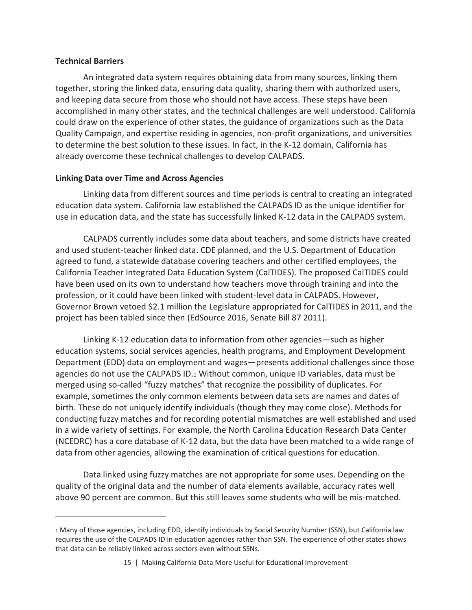#### **Technical Barriers**

 $\overline{a}$ 

An integrated data system requires obtaining data from many sources, linking them together, storing the linked data, ensuring data quality, sharing them with authorized users, and keeping data secure from those who should not have access. These steps have been accomplished in many other states, and the technical challenges are well understood. California could draw on the experience of other states, the guidance of organizations such as the Data Quality Campaign, and expertise residing in agencies, non-profit organizations, and universities to determine the best solution to these issues. In fact, in the K-12 domain, California has already overcome these technical challenges to develop CALPADS.

#### **Linking Data over Time and Across Agencies**

Linking data from different sources and time periods is central to creating an integrated education data system. California law established the CALPADS ID as the unique identifier for use in education data, and the state has successfully linked K-12 data in the CALPADS system.

CALPADS currently includes some data about teachers, and some districts have created and used student-teacher linked data. CDE planned, and the U.S. Department of Education agreed to fund, a statewide database covering teachers and other certified employees, the California Teacher Integrated Data Education System (CalTIDES). The proposed CalTIDES could have been used on its own to understand how teachers move through training and into the profession, or it could have been linked with student-level data in CALPADS. However, Governor Brown vetoed \$2.1 million the Legislature appropriated for CalTIDES in 2011, and the project has been tabled since then (EdSource 2016, Senate Bill 87 2011).

Linking K-12 education data to information from other agencies—such as higher education systems, social services agencies, health programs, and Employment Development Department (EDD) data on employment and wages—presents additional challenges since those agencies do not use the CALPADS ID.1 Without common, unique ID variables, data must be merged using so-called "fuzzy matches" that recognize the possibility of duplicates. For example, sometimes the only common elements between data sets are names and dates of birth. These do not uniquely identify individuals (though they may come close). Methods for conducting fuzzy matches and for recording potential mismatches are well established and used in a wide variety of settings. For example, the North Carolina Education Research Data Center (NCEDRC) has a core database of K-12 data, but the data have been matched to a wide range of data from other agencies, allowing the examination of critical questions for education.

Data linked using fuzzy matches are not appropriate for some uses. Depending on the quality of the original data and the number of data elements available, accuracy rates well above 90 percent are common. But this still leaves some students who will be mis-matched.

<sup>1</sup> Many of those agencies, including EDD, identify individuals by Social Security Number (SSN), but California law requires the use of the CALPADS ID in education agencies rather than SSN. The experience of other states shows that data can be reliably linked across sectors even without SSNs.

<sup>15 |</sup> Making California Data More Useful for Educational Improvement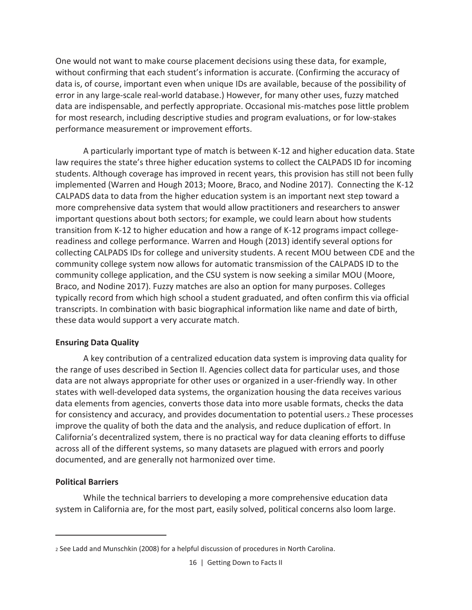One would not want to make course placement decisions using these data, for example, without confirming that each student's information is accurate. (Confirming the accuracy of data is, of course, important even when unique IDs are available, because of the possibility of error in any large-scale real-world database.) However, for many other uses, fuzzy matched data are indispensable, and perfectly appropriate. Occasional mis-matches pose little problem for most research, including descriptive studies and program evaluations, or for low-stakes performance measurement or improvement efforts.

A particularly important type of match is between K-12 and higher education data. State law requires the state's three higher education systems to collect the CALPADS ID for incoming students. Although coverage has improved in recent years, this provision has still not been fully implemented (Warren and Hough 2013; Moore, Braco, and Nodine 2017). Connecting the K-12 CALPADS data to data from the higher education system is an important next step toward a more comprehensive data system that would allow practitioners and researchers to answer important questions about both sectors; for example, we could learn about how students transition from K-12 to higher education and how a range of K-12 programs impact collegereadiness and college performance. Warren and Hough (2013) identify several options for collecting CALPADS IDs for college and university students. A recent MOU between CDE and the community college system now allows for automatic transmission of the CALPADS ID to the community college application, and the CSU system is now seeking a similar MOU (Moore, Braco, and Nodine 2017). Fuzzy matches are also an option for many purposes. Colleges typically record from which high school a student graduated, and often confirm this via official transcripts. In combination with basic biographical information like name and date of birth, these data would support a very accurate match.

#### **Ensuring Data Quality**

A key contribution of a centralized education data system is improving data quality for the range of uses described in Section II. Agencies collect data for particular uses, and those data are not always appropriate for other uses or organized in a user-friendly way. In other states with well-developed data systems, the organization housing the data receives various data elements from agencies, converts those data into more usable formats, checks the data for consistency and accuracy, and provides documentation to potential users.2 These processes improve the quality of both the data and the analysis, and reduce duplication of effort. In California's decentralized system, there is no practical way for data cleaning efforts to diffuse across all of the different systems, so many datasets are plagued with errors and poorly documented, and are generally not harmonized over time.

#### **Political Barriers**

 $\overline{a}$ 

While the technical barriers to developing a more comprehensive education data system in California are, for the most part, easily solved, political concerns also loom large.

<sup>2</sup> See Ladd and Munschkin (2008) for a helpful discussion of procedures in North Carolina.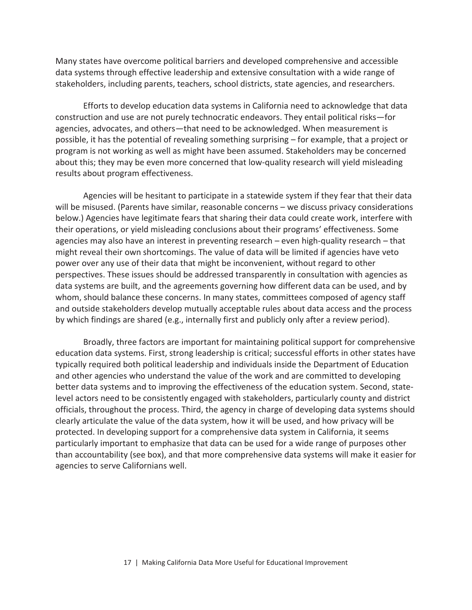Many states have overcome political barriers and developed comprehensive and accessible data systems through effective leadership and extensive consultation with a wide range of stakeholders, including parents, teachers, school districts, state agencies, and researchers.

Efforts to develop education data systems in California need to acknowledge that data construction and use are not purely technocratic endeavors. They entail political risks—for agencies, advocates, and others—that need to be acknowledged. When measurement is possible, it has the potential of revealing something surprising – for example, that a project or program is not working as well as might have been assumed. Stakeholders may be concerned about this; they may be even more concerned that low-quality research will yield misleading results about program effectiveness.

Agencies will be hesitant to participate in a statewide system if they fear that their data will be misused. (Parents have similar, reasonable concerns – we discuss privacy considerations below.) Agencies have legitimate fears that sharing their data could create work, interfere with their operations, or yield misleading conclusions about their programs' effectiveness. Some agencies may also have an interest in preventing research – even high-quality research – that might reveal their own shortcomings. The value of data will be limited if agencies have veto power over any use of their data that might be inconvenient, without regard to other perspectives. These issues should be addressed transparently in consultation with agencies as data systems are built, and the agreements governing how different data can be used, and by whom, should balance these concerns. In many states, committees composed of agency staff and outside stakeholders develop mutually acceptable rules about data access and the process by which findings are shared (e.g., internally first and publicly only after a review period).

Broadly, three factors are important for maintaining political support for comprehensive education data systems. First, strong leadership is critical; successful efforts in other states have typically required both political leadership and individuals inside the Department of Education and other agencies who understand the value of the work and are committed to developing better data systems and to improving the effectiveness of the education system. Second, statelevel actors need to be consistently engaged with stakeholders, particularly county and district officials, throughout the process. Third, the agency in charge of developing data systems should clearly articulate the value of the data system, how it will be used, and how privacy will be protected. In developing support for a comprehensive data system in California, it seems particularly important to emphasize that data can be used for a wide range of purposes other than accountability (see box), and that more comprehensive data systems will make it easier for agencies to serve Californians well.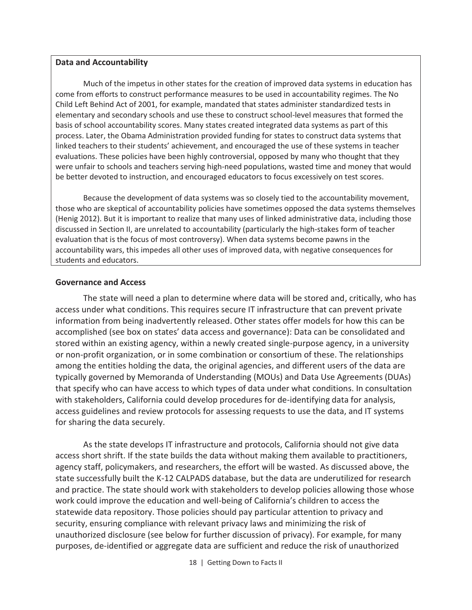#### **Data and Accountability**

Much of the impetus in other states for the creation of improved data systems in education has come from efforts to construct performance measures to be used in accountability regimes. The No Child Left Behind Act of 2001, for example, mandated that states administer standardized tests in elementary and secondary schools and use these to construct school-level measures that formed the basis of school accountability scores. Many states created integrated data systems as part of this process. Later, the Obama Administration provided funding for states to construct data systems that linked teachers to their students' achievement, and encouraged the use of these systems in teacher evaluations. These policies have been highly controversial, opposed by many who thought that they were unfair to schools and teachers serving high-need populations, wasted time and money that would be better devoted to instruction, and encouraged educators to focus excessively on test scores.

Because the development of data systems was so closely tied to the accountability movement, those who are skeptical of accountability policies have sometimes opposed the data systems themselves (Henig 2012). But it is important to realize that many uses of linked administrative data, including those discussed in Section II, are unrelated to accountability (particularly the high-stakes form of teacher evaluation that is the focus of most controversy). When data systems become pawns in the accountability wars, this impedes all other uses of improved data, with negative consequences for students and educators.

#### **Governance and Access**

The state will need a plan to determine where data will be stored and, critically, who has access under what conditions. This requires secure IT infrastructure that can prevent private information from being inadvertently released. Other states offer models for how this can be accomplished (see box on states' data access and governance): Data can be consolidated and stored within an existing agency, within a newly created single-purpose agency, in a university or non-profit organization, or in some combination or consortium of these. The relationships among the entities holding the data, the original agencies, and different users of the data are typically governed by Memoranda of Understanding (MOUs) and Data Use Agreements (DUAs) that specify who can have access to which types of data under what conditions. In consultation with stakeholders, California could develop procedures for de-identifying data for analysis, access guidelines and review protocols for assessing requests to use the data, and IT systems for sharing the data securely.

As the state develops IT infrastructure and protocols, California should not give data access short shrift. If the state builds the data without making them available to practitioners, agency staff, policymakers, and researchers, the effort will be wasted. As discussed above, the state successfully built the K-12 CALPADS database, but the data are underutilized for research and practice. The state should work with stakeholders to develop policies allowing those whose work could improve the education and well-being of California's children to access the statewide data repository. Those policies should pay particular attention to privacy and security, ensuring compliance with relevant privacy laws and minimizing the risk of unauthorized disclosure (see below for further discussion of privacy). For example, for many purposes, de-identified or aggregate data are sufficient and reduce the risk of unauthorized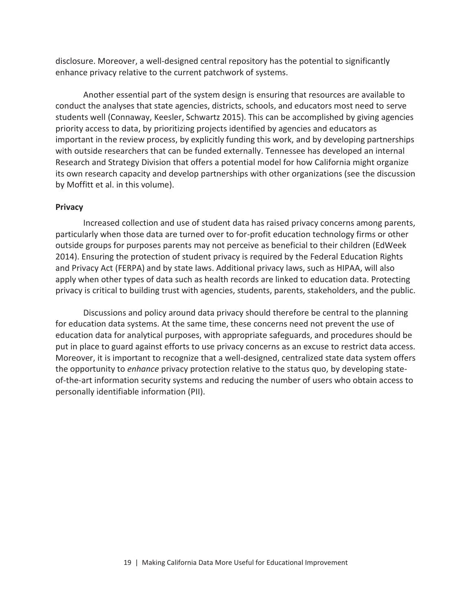disclosure. Moreover, a well-designed central repository has the potential to significantly enhance privacy relative to the current patchwork of systems.

Another essential part of the system design is ensuring that resources are available to conduct the analyses that state agencies, districts, schools, and educators most need to serve students well (Connaway, Keesler, Schwartz 2015). This can be accomplished by giving agencies priority access to data, by prioritizing projects identified by agencies and educators as important in the review process, by explicitly funding this work, and by developing partnerships with outside researchers that can be funded externally. Tennessee has developed an internal Research and Strategy Division that offers a potential model for how California might organize its own research capacity and develop partnerships with other organizations (see the discussion by Moffitt et al. in this volume).

#### **Privacy**

Increased collection and use of student data has raised privacy concerns among parents, particularly when those data are turned over to for-profit education technology firms or other outside groups for purposes parents may not perceive as beneficial to their children (EdWeek 2014). Ensuring the protection of student privacy is required by the Federal Education Rights and Privacy Act (FERPA) and by state laws. Additional privacy laws, such as HIPAA, will also apply when other types of data such as health records are linked to education data. Protecting privacy is critical to building trust with agencies, students, parents, stakeholders, and the public.

Discussions and policy around data privacy should therefore be central to the planning for education data systems. At the same time, these concerns need not prevent the use of education data for analytical purposes, with appropriate safeguards, and procedures should be put in place to guard against efforts to use privacy concerns as an excuse to restrict data access. Moreover, it is important to recognize that a well-designed, centralized state data system offers the opportunity to *enhance* privacy protection relative to the status quo, by developing stateof-the-art information security systems and reducing the number of users who obtain access to personally identifiable information (PII).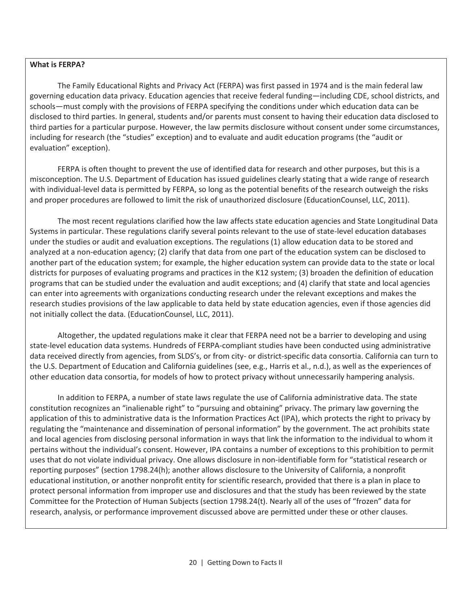#### **What is FERPA?**

The Family Educational Rights and Privacy Act (FERPA) was first passed in 1974 and is the main federal law governing education data privacy. Education agencies that receive federal funding—including CDE, school districts, and schools—must comply with the provisions of FERPA specifying the conditions under which education data can be disclosed to third parties. In general, students and/or parents must consent to having their education data disclosed to third parties for a particular purpose. However, the law permits disclosure without consent under some circumstances, including for research (the "studies" exception) and to evaluate and audit education programs (the "audit or evaluation" exception).

FERPA is often thought to prevent the use of identified data for research and other purposes, but this is a misconception. The U.S. Department of Education has issued guidelines clearly stating that a wide range of research with individual-level data is permitted by FERPA, so long as the potential benefits of the research outweigh the risks and proper procedures are followed to limit the risk of unauthorized disclosure (EducationCounsel, LLC, 2011).

The most recent regulations clarified how the law affects state education agencies and State Longitudinal Data Systems in particular. These regulations clarify several points relevant to the use of state-level education databases under the studies or audit and evaluation exceptions. The regulations (1) allow education data to be stored and analyzed at a non-education agency; (2) clarify that data from one part of the education system can be disclosed to another part of the education system; for example, the higher education system can provide data to the state or local districts for purposes of evaluating programs and practices in the K12 system; (3) broaden the definition of education programs that can be studied under the evaluation and audit exceptions; and (4) clarify that state and local agencies can enter into agreements with organizations conducting research under the relevant exceptions and makes the research studies provisions of the law applicable to data held by state education agencies, even if those agencies did not initially collect the data. (EducationCounsel, LLC, 2011).

Altogether, the updated regulations make it clear that FERPA need not be a barrier to developing and using state-level education data systems. Hundreds of FERPA-compliant studies have been conducted using administrative data received directly from agencies, from SLDS's, or from city- or district-specific data consortia. California can turn to the U.S. Department of Education and California guidelines (see, e.g., Harris et al., n.d.), as well as the experiences of other education data consortia, for models of how to protect privacy without unnecessarily hampering analysis.

In addition to FERPA, a number of state laws regulate the use of California administrative data. The state constitution recognizes an "inalienable right" to "pursuing and obtaining" privacy. The primary law governing the application of this to administrative data is the Information Practices Act (IPA), which protects the right to privacy by regulating the "maintenance and dissemination of personal information" by the government. The act prohibits state and local agencies from disclosing personal information in ways that link the information to the individual to whom it pertains without the individual's consent. However, IPA contains a number of exceptions to this prohibition to permit uses that do not violate individual privacy. One allows disclosure in non-identifiable form for "statistical research or reporting purposes" (section 1798.24(h); another allows disclosure to the University of California, a nonprofit educational institution, or another nonprofit entity for scientific research, provided that there is a plan in place to protect personal information from improper use and disclosures and that the study has been reviewed by the state Committee for the Protection of Human Subjects (section 1798.24(t). Nearly all of the uses of "frozen" data for research, analysis, or performance improvement discussed above are permitted under these or other clauses.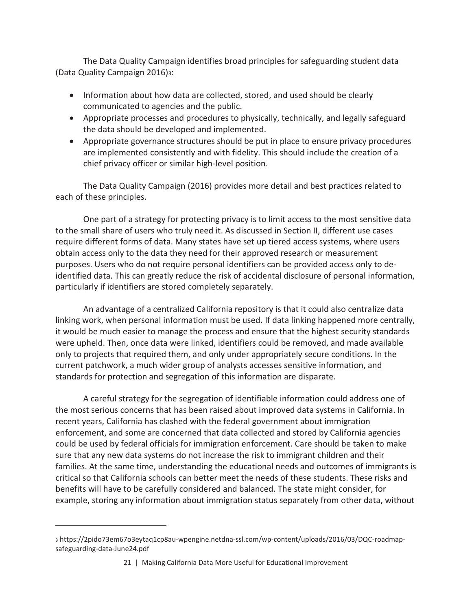The Data Quality Campaign identifies broad principles for safeguarding student data (Data Quality Campaign 2016)3:

- Information about how data are collected, stored, and used should be clearly communicated to agencies and the public.
- · Appropriate processes and procedures to physically, technically, and legally safeguard the data should be developed and implemented.
- · Appropriate governance structures should be put in place to ensure privacy procedures are implemented consistently and with fidelity. This should include the creation of a chief privacy officer or similar high-level position.

The Data Quality Campaign (2016) provides more detail and best practices related to each of these principles.

One part of a strategy for protecting privacy is to limit access to the most sensitive data to the small share of users who truly need it. As discussed in Section II, different use cases require different forms of data. Many states have set up tiered access systems, where users obtain access only to the data they need for their approved research or measurement purposes. Users who do not require personal identifiers can be provided access only to deidentified data. This can greatly reduce the risk of accidental disclosure of personal information, particularly if identifiers are stored completely separately.

An advantage of a centralized California repository is that it could also centralize data linking work, when personal information must be used. If data linking happened more centrally, it would be much easier to manage the process and ensure that the highest security standards were upheld. Then, once data were linked, identifiers could be removed, and made available only to projects that required them, and only under appropriately secure conditions. In the current patchwork, a much wider group of analysts accesses sensitive information, and standards for protection and segregation of this information are disparate.

A careful strategy for the segregation of identifiable information could address one of the most serious concerns that has been raised about improved data systems in California. In recent years, California has clashed with the federal government about immigration enforcement, and some are concerned that data collected and stored by California agencies could be used by federal officials for immigration enforcement. Care should be taken to make sure that any new data systems do not increase the risk to immigrant children and their families. At the same time, understanding the educational needs and outcomes of immigrants is critical so that California schools can better meet the needs of these students. These risks and benefits will have to be carefully considered and balanced. The state might consider, for example, storing any information about immigration status separately from other data, without

 $\overline{a}$ 

<sup>3</sup> https://2pido73em67o3eytaq1cp8au-wpengine.netdna-ssl.com/wp-content/uploads/2016/03/DQC-roadmapsafeguarding-data-June24.pdf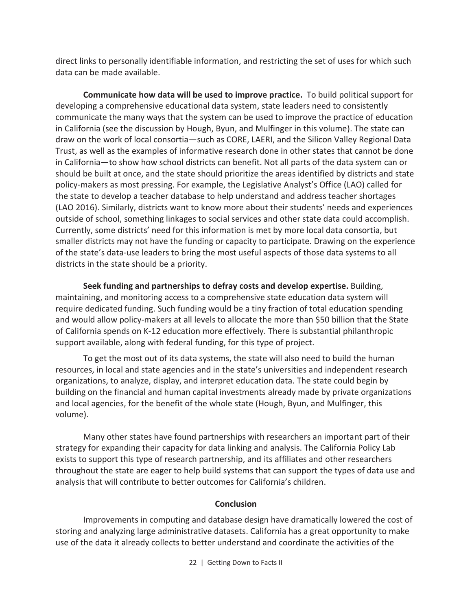direct links to personally identifiable information, and restricting the set of uses for which such data can be made available.

**Communicate how data will be used to improve practice.** To build political support for developing a comprehensive educational data system, state leaders need to consistently communicate the many ways that the system can be used to improve the practice of education in California (see the discussion by Hough, Byun, and Mulfinger in this volume). The state can draw on the work of local consortia—such as CORE, LAERI, and the Silicon Valley Regional Data Trust, as well as the examples of informative research done in other states that cannot be done in California—to show how school districts can benefit. Not all parts of the data system can or should be built at once, and the state should prioritize the areas identified by districts and state policy-makers as most pressing. For example, the Legislative Analyst's Office (LAO) called for the state to develop a teacher database to help understand and address teacher shortages (LAO 2016). Similarly, districts want to know more about their students' needs and experiences outside of school, something linkages to social services and other state data could accomplish. Currently, some districts' need for this information is met by more local data consortia, but smaller districts may not have the funding or capacity to participate. Drawing on the experience of the state's data-use leaders to bring the most useful aspects of those data systems to all districts in the state should be a priority.

**Seek funding and partnerships to defray costs and develop expertise.** Building, maintaining, and monitoring access to a comprehensive state education data system will require dedicated funding. Such funding would be a tiny fraction of total education spending and would allow policy-makers at all levels to allocate the more than \$50 billion that the State of California spends on K-12 education more effectively. There is substantial philanthropic support available, along with federal funding, for this type of project.

To get the most out of its data systems, the state will also need to build the human resources, in local and state agencies and in the state's universities and independent research organizations, to analyze, display, and interpret education data. The state could begin by building on the financial and human capital investments already made by private organizations and local agencies, for the benefit of the whole state (Hough, Byun, and Mulfinger, this volume).

Many other states have found partnerships with researchers an important part of their strategy for expanding their capacity for data linking and analysis. The California Policy Lab exists to support this type of research partnership, and its affiliates and other researchers throughout the state are eager to help build systems that can support the types of data use and analysis that will contribute to better outcomes for California's children.

#### **Conclusion**

Improvements in computing and database design have dramatically lowered the cost of storing and analyzing large administrative datasets. California has a great opportunity to make use of the data it already collects to better understand and coordinate the activities of the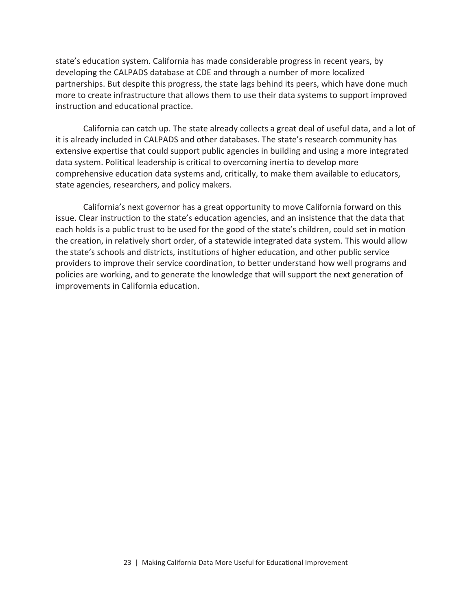state's education system. California has made considerable progress in recent years, by developing the CALPADS database at CDE and through a number of more localized partnerships. But despite this progress, the state lags behind its peers, which have done much more to create infrastructure that allows them to use their data systems to support improved instruction and educational practice.

California can catch up. The state already collects a great deal of useful data, and a lot of it is already included in CALPADS and other databases. The state's research community has extensive expertise that could support public agencies in building and using a more integrated data system. Political leadership is critical to overcoming inertia to develop more comprehensive education data systems and, critically, to make them available to educators, state agencies, researchers, and policy makers.

California's next governor has a great opportunity to move California forward on this issue. Clear instruction to the state's education agencies, and an insistence that the data that each holds is a public trust to be used for the good of the state's children, could set in motion the creation, in relatively short order, of a statewide integrated data system. This would allow the state's schools and districts, institutions of higher education, and other public service providers to improve their service coordination, to better understand how well programs and policies are working, and to generate the knowledge that will support the next generation of improvements in California education.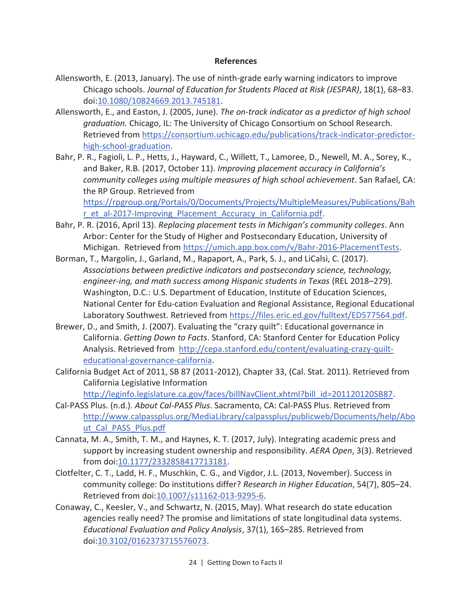#### **References**

- Allensworth, E. (2013, January). The use of ninth-grade early warning indicators to improve Chicago schools. *Journal of Education for Students Placed at Risk (JESPAR)*, 18(1), 68–83. doi:10.1080/10824669.2013.745181.
- Allensworth, E., and Easton, J. (2005, June). *The on-track indicator as a predictor of high school graduation.* Chicago, IL: The University of Chicago Consortium on School Research. Retrieved from https://consortium.uchicago.edu/publications/track-indicator-predictorhigh-school-graduation.
- Bahr, P. R., Fagioli, L. P., Hetts, J., Hayward, C., Willett, T., Lamoree, D., Newell, M. A., Sorey, K., and Baker, R.B. (2017, October 11). *Improving placement accuracy in California's community colleges using multiple measures of high school achievement*. San Rafael, CA: the RP Group. Retrieved from https://rpgroup.org/Portals/0/Documents/Projects/MultipleMeasures/Publications/Bah r\_et\_al-2017-Improving\_Placement\_Accuracy\_in\_California.pdf.
- Bahr, P. R. (2016, April 13). *Replacing placement tests in Michigan's community colleges*. Ann Arbor: Center for the Study of Higher and Postsecondary Education, University of Michigan. Retrieved from https://umich.app.box.com/v/Bahr-2016-PlacementTests.
- Borman, T., Margolin, J., Garland, M., Rapaport, A., Park, S. J., and LiCalsi, C. (2017). *Associations between predictive indicators and postsecondary science, technology,*  engineer-ing, and math success among Hispanic students in Texas (REL 2018–279). Washington, D.C.: U.S. Department of Education, Institute of Education Sciences, National Center for Edu-cation Evaluation and Regional Assistance, Regional Educational Laboratory Southwest. Retrieved from https://files.eric.ed.gov/fulltext/ED577564.pdf.
- Brewer, D., and Smith, J. (2007). Evaluating the "crazy quilt": Educational governance in California. *Getting Down to Facts*. Stanford, CA: Stanford Center for Education Policy Analysis. Retrieved from http://cepa.stanford.edu/content/evaluating-crazy-quilteducational-governance-california.
- California Budget Act of 2011, SB 87 (2011-2012), Chapter 33, (Cal. Stat. 2011). Retrieved from California Legislative Information

http://leginfo.legislature.ca.gov/faces/billNavClient.xhtml?bill\_id=201120120SB87.

- Cal-PASS Plus. (n.d.). *About Cal-PASS Plus*. Sacramento, CA: Cal-PASS Plus. Retrieved from http://www.calpassplus.org/MediaLibrary/calpassplus/publicweb/Documents/help/Abo ut\_Cal\_PASS\_Plus.pdf
- Cannata, M. A., Smith, T. M., and Haynes, K. T. (2017, July). Integrating academic press and support by increasing student ownership and responsibility. *AERA Open*, 3(3). Retrieved from doi:10.1177/2332858417713181.
- Clotfelter, C. T., Ladd, H. F., Muschkin, C. G., and Vigdor, J.L. (2013, November). Success in community college: Do institutions differ? *Research in Higher Education*, 54(7), 805–24. Retrieved from doi:10.1007/s11162-013-9295-6.
- Conaway, C., Keesler, V., and Schwartz, N. (2015, May). What research do state education agencies really need? The promise and limitations of state longitudinal data systems. *Educational Evaluation and Policy Analysis*, 37(1), 16S–28S. Retrieved from doi:10.3102/0162373715576073.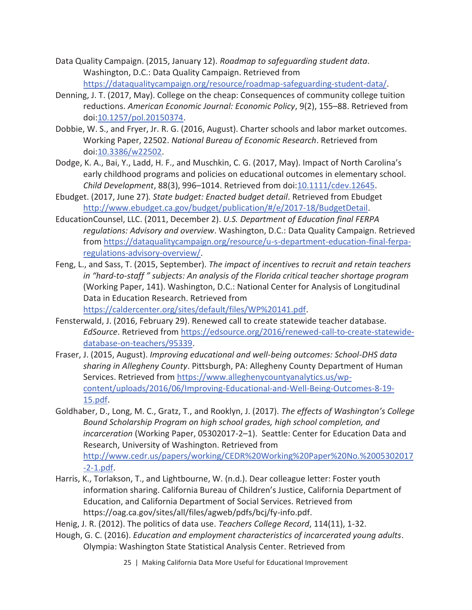- Data Quality Campaign. (2015, January 12). *Roadmap to safeguarding student data*. Washington, D.C.: Data Quality Campaign. Retrieved from https://dataqualitycampaign.org/resource/roadmap-safeguarding-student-data/.
- Denning, J. T. (2017, May). College on the cheap: Consequences of community college tuition reductions. *American Economic Journal: Economic Policy*, 9(2), 155–88. Retrieved from doi:10.1257/pol.20150374.
- Dobbie, W. S., and Fryer, Jr. R. G. (2016, August). Charter schools and labor market outcomes. Working Paper, 22502. *National Bureau of Economic Research*. Retrieved from doi:10.3386/w22502.
- Dodge, K. A., Bai, Y., Ladd, H. F., and Muschkin, C. G. (2017, May). Impact of North Carolina's early childhood programs and policies on educational outcomes in elementary school. *Child Development*, 88(3), 996–1014. Retrieved from doi:10.1111/cdev.12645.
- Ebudget. (2017, June 27)*. State budget: Enacted budget detail*. Retrieved from Ebudget http://www.ebudget.ca.gov/budget/publication/#/e/2017-18/BudgetDetail.
- EducationCounsel, LLC. (2011, December 2). *U.S. Department of Education final FERPA regulations: Advisory and overview*. Washington, D.C.: Data Quality Campaign. Retrieved from https://dataqualitycampaign.org/resource/u-s-department-education-final-ferparegulations-advisory-overview/.
- Feng, L., and Sass, T. (2015, September). *The impact of incentives to recruit and retain teachers in "hard-to-staff " subjects: An analysis of the Florida critical teacher shortage program*  (Working Paper, 141). Washington, D.C.: National Center for Analysis of Longitudinal Data in Education Research. Retrieved from https://caldercenter.org/sites/default/files/WP%20141.pdf.
- Fensterwald, J. (2016, February 29). Renewed call to create statewide teacher database. *EdSource*. Retrieved from https://edsource.org/2016/renewed-call-to-create-statewidedatabase-on-teachers/95339.
- Fraser, J. (2015, August). *Improving educational and well-being outcomes: School-DHS data sharing in Allegheny County*. Pittsburgh, PA: Allegheny County Department of Human Services. Retrieved from https://www.alleghenycountyanalytics.us/wpcontent/uploads/2016/06/Improving-Educational-and-Well-Being-Outcomes-8-19- 15.pdf.
- Goldhaber, D., Long, M. C., Gratz, T., and Rooklyn, J. (2017). *The effects of Washington's College Bound Scholarship Program on high school grades, high school completion, and incarceration* (Working Paper, 05302017-2–1). Seattle: Center for Education Data and Research, University of Washington. Retrieved from http://www.cedr.us/papers/working/CEDR%20Working%20Paper%20No.%2005302017 -2-1.pdf.
- Harris, K., Torlakson, T., and Lightbourne, W. (n.d.). Dear colleague letter: Foster youth information sharing. California Bureau of Children's Justice, California Department of Education, and California Department of Social Services. Retrieved from https://oag.ca.gov/sites/all/files/agweb/pdfs/bcj/fy-info.pdf.
- Henig, J. R. (2012). The politics of data use. *Teachers College Record*, 114(11), 1-32.
- Hough, G. C. (2016). *Education and employment characteristics of incarcerated young adults*. Olympia: Washington State Statistical Analysis Center. Retrieved from
	- 25 | Making California Data More Useful for Educational Improvement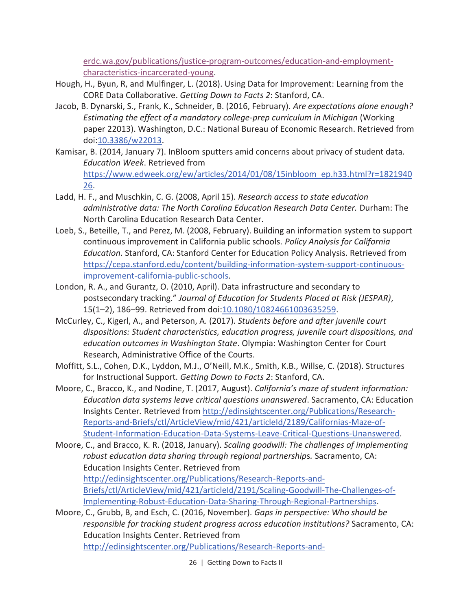erdc.wa.gov/publications/justice-program-outcomes/education-and-employmentcharacteristics-incarcerated-young.

- Hough, H., Byun, R, and Mulfinger, L. (2018). Using Data for Improvement: Learning from the CORE Data Collaborative. *Getting Down to Facts 2*: Stanford, CA.
- Jacob, B. Dynarski, S., Frank, K., Schneider, B. (2016, February). *Are expectations alone enough? Estimating the effect of a mandatory college-prep curriculum in Michigan* (Working paper 22013). Washington, D.C.: National Bureau of Economic Research. Retrieved from doi:10.3386/w22013.
- Kamisar, B. (2014, January 7). InBloom sputters amid concerns about privacy of student data. *Education Week*. Retrieved from https://www.edweek.org/ew/articles/2014/01/08/15inbloom\_ep.h33.html?r=1821940 26.
- Ladd, H. F., and Muschkin, C. G. (2008, April 15). *Research access to state education administrative data: The North Carolina Education Research Data Center.* Durham: The North Carolina Education Research Data Center.
- Loeb, S., Beteille, T., and Perez, M. (2008, February). Building an information system to support continuous improvement in California public schools. *Policy Analysis for California Education*. Stanford, CA: Stanford Center for Education Policy Analysis. Retrieved from https://cepa.stanford.edu/content/building-information-system-support-continuousimprovement-california-public-schools.
- London, R. A., and Gurantz, O. (2010, April). Data infrastructure and secondary to postsecondary tracking." *Journal of Education for Students Placed at Risk (JESPAR)*, 15(1–2), 186–99. Retrieved from doi:10.1080/10824661003635259.
- McCurley, C., Kigerl, A., and Peterson, A. (2017). *Students before and after juvenile court dispositions: Student characteristics, education progress, juvenile court dispositions, and education outcomes in Washington State*. Olympia: Washington Center for Court Research, Administrative Office of the Courts.
- Moffitt, S.L., Cohen, D.K., Lyddon, M.J., O'Neill, M.K., Smith, K.B., Willse, C. (2018). Structures for Instructional Support. *Getting Down to Facts 2*: Stanford, CA.
- Moore, C., Bracco, K., and Nodine, T. (2017, August). *California's maze of student information: Education data systems leave critical questions unanswered*. Sacramento, CA: Education Insights Center*.* Retrieved from http://edinsightscenter.org/Publications/Research-Reports-and-Briefs/ctl/ArticleView/mid/421/articleId/2189/Californias-Maze-of-Student-Information-Education-Data-Systems-Leave-Critical-Questions-Unanswered.
- Moore, C., and Bracco, K. R. (2018, January). *Scaling goodwill: The challenges of implementing robust education data sharing through regional partnership*s*.* Sacramento, CA: Education Insights Center. Retrieved from http://edinsightscenter.org/Publications/Research-Reports-and-Briefs/ctl/ArticleView/mid/421/articleId/2191/Scaling-Goodwill-The-Challenges-of-Implementing-Robust-Education-Data-Sharing-Through-Regional-Partnerships.
- Moore, C., Grubb, B, and Esch, C. (2016, November). *Gaps in perspective: Who should be responsible for tracking student progress across education institutions?* Sacramento, CA: Education Insights Center. Retrieved from http://edinsightscenter.org/Publications/Research-Reports-and-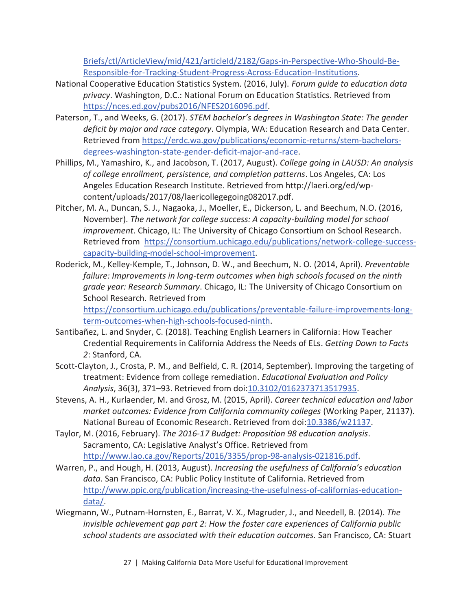Briefs/ctl/ArticleView/mid/421/articleId/2182/Gaps-in-Perspective-Who-Should-Be-Responsible-for-Tracking-Student-Progress-Across-Education-Institutions.

- National Cooperative Education Statistics System. (2016, July). *Forum guide to education data privacy*. Washington, D.C.: National Forum on Education Statistics. Retrieved from https://nces.ed.gov/pubs2016/NFES2016096.pdf.
- Paterson, T., and Weeks, G. (2017). *STEM bachelor's degrees in Washington State: The gender deficit by major and race category*. Olympia, WA: Education Research and Data Center. Retrieved from https://erdc.wa.gov/publications/economic-returns/stem-bachelorsdegrees-washington-state-gender-deficit-major-and-race.
- Phillips, M., Yamashiro, K., and Jacobson, T. (2017, August). *College going in LAUSD: An analysis of college enrollment, persistence, and completion patterns*. Los Angeles, CA: Los Angeles Education Research Institute. Retrieved from http://laeri.org/ed/wpcontent/uploads/2017/08/laericollegegoing082017.pdf.
- Pitcher, M. A., Duncan, S. J., Nagaoka, J., Moeller, E., Dickerson, L. and Beechum, N.O. (2016, November). *The network for college success: A capacity-building model for school improvement*. Chicago, IL: The University of Chicago Consortium on School Research. Retrieved from https://consortium.uchicago.edu/publications/network-college-successcapacity-building-model-school-improvement.
- Roderick, M., Kelley-Kemple, T., Johnson, D. W., and Beechum, N. O. (2014, April). *Preventable failure: Improvements in long-term outcomes when high schools focused on the ninth grade year: Research Summary*. Chicago, IL: The University of Chicago Consortium on School Research. Retrieved from https://consortium.uchicago.edu/publications/preventable-failure-improvements-long-

term-outcomes-when-high-schools-focused-ninth.

- Santibañez, L. and Snyder, C. (2018). Teaching English Learners in California: How Teacher Credential Requirements in California Address the Needs of ELs. *Getting Down to Facts 2*: Stanford, CA.
- Scott-Clayton, J., Crosta, P. M., and Belfield, C. R. (2014, September). Improving the targeting of treatment: Evidence from college remediation. *Educational Evaluation and Policy Analysis*, 36(3), 371–93. Retrieved from doi:10.3102/0162373713517935.
- Stevens, A. H., Kurlaender, M. and Grosz, M. (2015, April). *Career technical education and labor market outcomes: Evidence from California community colleges* (Working Paper, 21137). National Bureau of Economic Research. Retrieved from doi:10.3386/w21137.
- Taylor, M. (2016, February). *The 2016-17 Budget: Proposition 98 education analysis*. Sacramento, CA: Legislative Analyst's Office. Retrieved from http://www.lao.ca.gov/Reports/2016/3355/prop-98-analysis-021816.pdf.
- Warren, P., and Hough, H. (2013, August). *Increasing the usefulness of California's education data*. San Francisco, CA: Public Policy Institute of California. Retrieved from http://www.ppic.org/publication/increasing-the-usefulness-of-californias-educationdata/.
- Wiegmann, W., Putnam-Hornsten, E., Barrat, V. X., Magruder, J., and Needell, B. (2014). *The invisible achievement gap part 2: How the foster care experiences of California public school students are associated with their education outcomes.* San Francisco, CA: Stuart